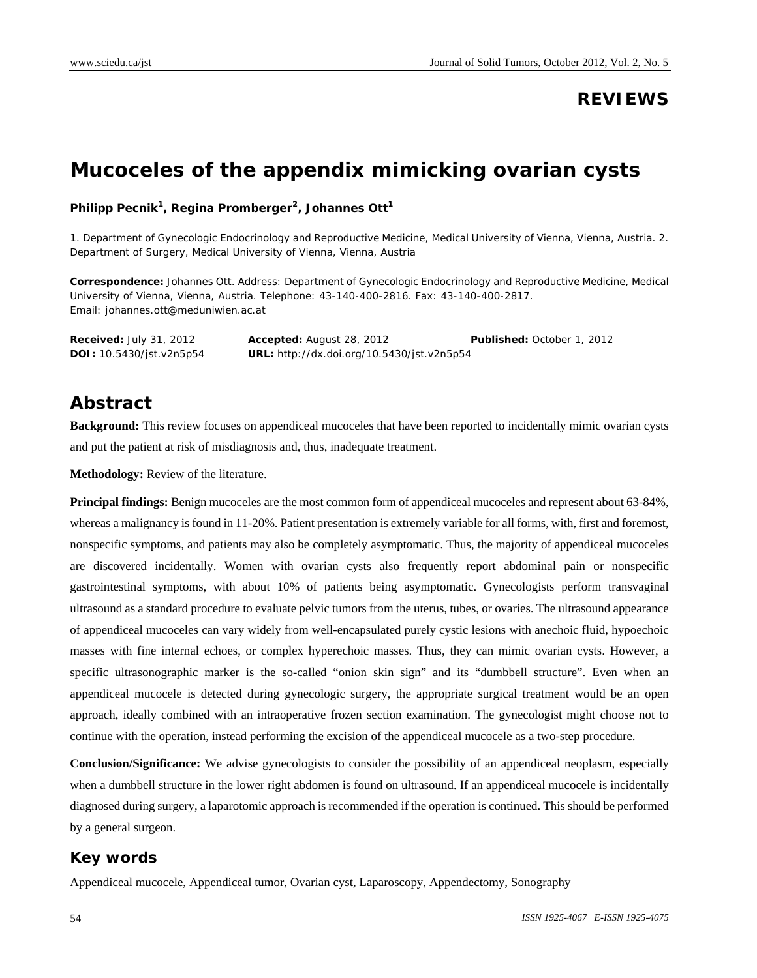#### **REVIEWS**

## **Mucoceles of the appendix mimicking ovarian cysts**

#### **Philipp Pecnik<sup>1</sup>, Regina Promberger<sup>2</sup>, Johannes Ott<sup>1</sup>**

1. Department of Gynecologic Endocrinology and Reproductive Medicine, Medical University of Vienna, Vienna, Austria. 2. Department of Surgery, Medical University of Vienna, Vienna, Austria

**Correspondence:** Johannes Ott. Address: Department of Gynecologic Endocrinology and Reproductive Medicine, Medical University of Vienna, Vienna, Austria. Telephone: 43-140-400-2816. Fax: 43-140-400-2817. Email: johannes.ott@meduniwien.ac.at

**Received:** July 31, 2012 **Accepted:** August 28, 2012 **Published:** October 1, 2012 **DOI:** 10.5430/jst.v2n5p54 **URL:** http://dx.doi.org/10.5430/jst.v2n5p54

#### **Abstract**

**Background:** This review focuses on appendiceal mucoceles that have been reported to incidentally mimic ovarian cysts and put the patient at risk of misdiagnosis and, thus, inadequate treatment.

**Methodology:** Review of the literature.

**Principal findings:** Benign mucoceles are the most common form of appendiceal mucoceles and represent about 63-84%, whereas a malignancy is found in 11-20%. Patient presentation is extremely variable for all forms, with, first and foremost, nonspecific symptoms, and patients may also be completely asymptomatic. Thus, the majority of appendiceal mucoceles are discovered incidentally. Women with ovarian cysts also frequently report abdominal pain or nonspecific gastrointestinal symptoms, with about 10% of patients being asymptomatic. Gynecologists perform transvaginal ultrasound as a standard procedure to evaluate pelvic tumors from the uterus, tubes, or ovaries. The ultrasound appearance of appendiceal mucoceles can vary widely from well-encapsulated purely cystic lesions with anechoic fluid, hypoechoic masses with fine internal echoes, or complex hyperechoic masses. Thus, they can mimic ovarian cysts. However, a specific ultrasonographic marker is the so-called "onion skin sign" and its "dumbbell structure". Even when an appendiceal mucocele is detected during gynecologic surgery, the appropriate surgical treatment would be an open approach, ideally combined with an intraoperative frozen section examination. The gynecologist might choose not to continue with the operation, instead performing the excision of the appendiceal mucocele as a two-step procedure.

**Conclusion/Significance:** We advise gynecologists to consider the possibility of an appendiceal neoplasm, especially when a dumbbell structure in the lower right abdomen is found on ultrasound. If an appendiceal mucocele is incidentally diagnosed during surgery, a laparotomic approach is recommended if the operation is continued. This should be performed by a general surgeon.

#### **Key words**

Appendiceal mucocele, Appendiceal tumor, Ovarian cyst, Laparoscopy, Appendectomy, Sonography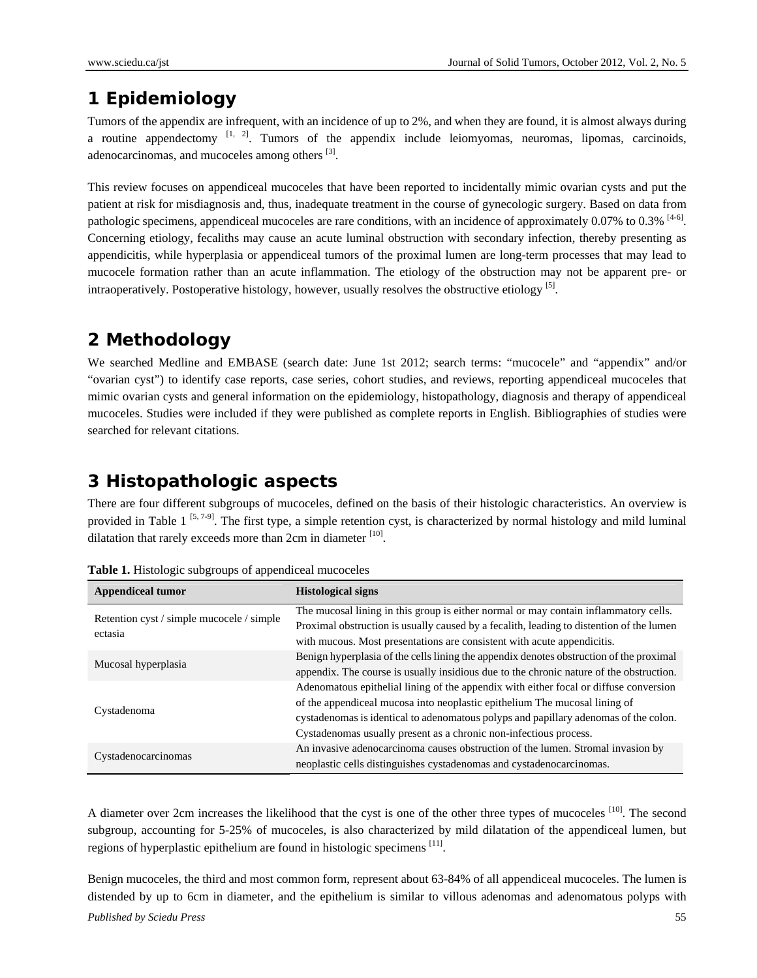## **1 Epidemiology**

Tumors of the appendix are infrequent, with an incidence of up to 2%, and when they are found, it is almost always during a routine appendectomy  $\begin{bmatrix} 1 \\ 2 \end{bmatrix}$ . Tumors of the appendix include leiomyomas, neuromas, lipomas, carcinoids, adenocarcinomas, and mucoceles among others <sup>[3]</sup>.

This review focuses on appendiceal mucoceles that have been reported to incidentally mimic ovarian cysts and put the patient at risk for misdiagnosis and, thus, inadequate treatment in the course of gynecologic surgery. Based on data from pathologic specimens, appendiceal mucoceles are rare conditions, with an incidence of approximately 0.07% to 0.3% <sup>[4-6]</sup>. Concerning etiology, fecaliths may cause an acute luminal obstruction with secondary infection, thereby presenting as appendicitis, while hyperplasia or appendiceal tumors of the proximal lumen are long-term processes that may lead to mucocele formation rather than an acute inflammation. The etiology of the obstruction may not be apparent pre- or intraoperatively. Postoperative histology, however, usually resolves the obstructive etiology [5].

# **2 Methodology**

We searched Medline and EMBASE (search date: June 1st 2012; search terms: "mucocele" and "appendix" and/or "ovarian cyst") to identify case reports, case series, cohort studies, and reviews, reporting appendiceal mucoceles that mimic ovarian cysts and general information on the epidemiology, histopathology, diagnosis and therapy of appendiceal mucoceles. Studies were included if they were published as complete reports in English. Bibliographies of studies were searched for relevant citations.

## **3 Histopathologic aspects**

There are four different subgroups of mucoceles, defined on the basis of their histologic characteristics. An overview is provided in Table  $1^{[5, 7-9]}$ . The first type, a simple retention cyst, is characterized by normal histology and mild luminal dilatation that rarely exceeds more than  $2cm$  in diameter  $[10]$ .

| <b>Appendiceal tumor</b>                             | <b>Histological signs</b>                                                                |  |
|------------------------------------------------------|------------------------------------------------------------------------------------------|--|
| Retention cyst / simple mucocele / simple<br>ectasia | The mucosal lining in this group is either normal or may contain inflammatory cells.     |  |
|                                                      | Proximal obstruction is usually caused by a fecalith, leading to distention of the lumen |  |
|                                                      | with mucous. Most presentations are consistent with acute appendicitis.                  |  |
| Mucosal hyperplasia                                  | Benign hyperplasia of the cells lining the appendix denotes obstruction of the proximal  |  |
|                                                      | appendix. The course is usually insidious due to the chronic nature of the obstruction.  |  |
| Cystadenoma                                          | Adenomatous epithelial lining of the appendix with either focal or diffuse conversion    |  |
|                                                      | of the appendiceal mucosa into neoplastic epithelium The mucosal lining of               |  |
|                                                      | cystadenomas is identical to adenomatous polyps and papillary adenomas of the colon.     |  |
|                                                      | Cystadenomas usually present as a chronic non-infectious process.                        |  |
| Cystadenocarcinomas                                  | An invasive adenocarcinoma causes obstruction of the lumen. Stromal invasion by          |  |
|                                                      | neoplastic cells distinguishes cystadenomas and cystadenocarcinomas.                     |  |

|  | Table 1. Histologic subgroups of appendiceal mucoceles |  |
|--|--------------------------------------------------------|--|
|  |                                                        |  |

A diameter over 2cm increases the likelihood that the cyst is one of the other three types of mucoceles [10]. The second subgroup, accounting for 5-25% of mucoceles, is also characterized by mild dilatation of the appendiceal lumen, but regions of hyperplastic epithelium are found in histologic specimens [11].

*Published by Sciedu Press* 55 Benign mucoceles, the third and most common form, represent about 63-84% of all appendiceal mucoceles. The lumen is distended by up to 6cm in diameter, and the epithelium is similar to villous adenomas and adenomatous polyps with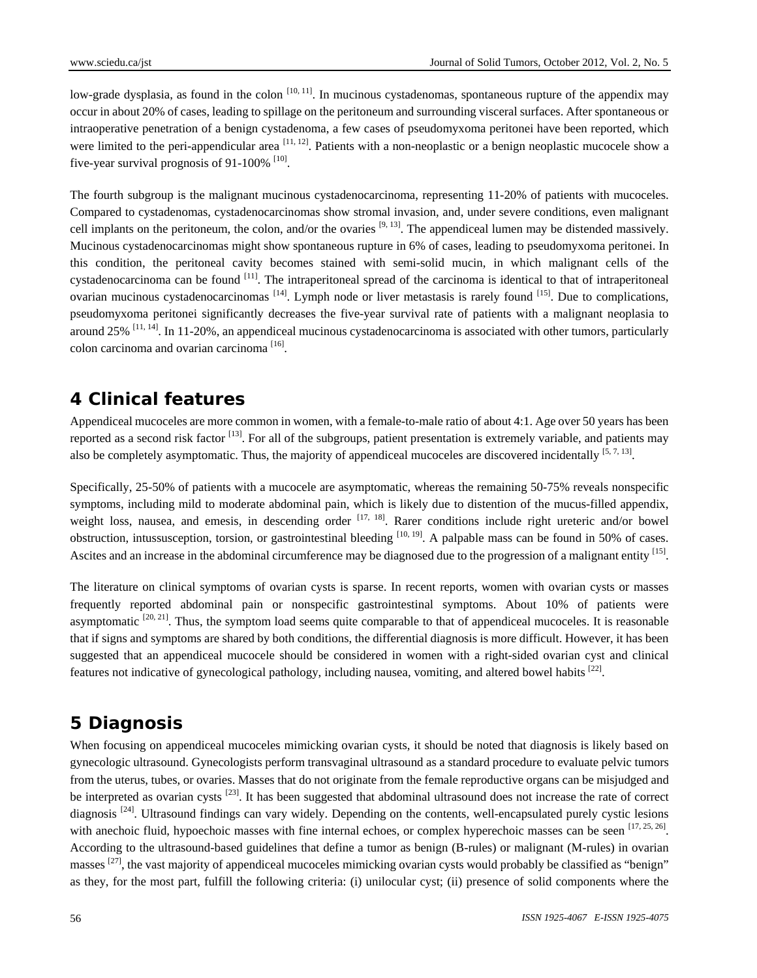low-grade dysplasia, as found in the colon  $[10, 11]$ . In mucinous cystadenomas, spontaneous rupture of the appendix may occur in about 20% of cases, leading to spillage on the peritoneum and surrounding visceral surfaces. After spontaneous or intraoperative penetration of a benign cystadenoma, a few cases of pseudomyxoma peritonei have been reported, which were limited to the peri-appendicular area  $[11, 12]$ . Patients with a non-neoplastic or a benign neoplastic mucocele show a five-year survival prognosis of 91-100%  $^{[10]}$ .

The fourth subgroup is the malignant mucinous cystadenocarcinoma, representing 11-20% of patients with mucoceles. Compared to cystadenomas, cystadenocarcinomas show stromal invasion, and, under severe conditions, even malignant cell implants on the peritoneum, the colon, and/or the ovaries  $[9, 13]$ . The appendiceal lumen may be distended massively. Mucinous cystadenocarcinomas might show spontaneous rupture in 6% of cases, leading to pseudomyxoma peritonei. In this condition, the peritoneal cavity becomes stained with semi-solid mucin, in which malignant cells of the cystadenocarcinoma can be found [11]. The intraperitoneal spread of the carcinoma is identical to that of intraperitoneal ovarian mucinous cystadenocarcinomas <sup>[14]</sup>. Lymph node or liver metastasis is rarely found <sup>[15]</sup>. Due to complications, pseudomyxoma peritonei significantly decreases the five-year survival rate of patients with a malignant neoplasia to around  $25\%$   $^{[11, 14]}$ . In 11-20%, an appendiceal mucinous cystadenocarcinoma is associated with other tumors, particularly colon carcinoma and ovarian carcinoma [16].

### **4 Clinical features**

Appendiceal mucoceles are more common in women, with a female-to-male ratio of about 4:1. Age over 50 years has been reported as a second risk factor  $[13]$ . For all of the subgroups, patient presentation is extremely variable, and patients may also be completely asymptomatic. Thus, the majority of appendiceal mucoceles are discovered incidentally  $[5, 7, 13]$ .

Specifically, 25-50% of patients with a mucocele are asymptomatic, whereas the remaining 50-75% reveals nonspecific symptoms, including mild to moderate abdominal pain, which is likely due to distention of the mucus-filled appendix, weight loss, nausea, and emesis, in descending order  $[17, 18]$ . Rarer conditions include right ureteric and/or bowel obstruction, intussusception, torsion, or gastrointestinal bleeding  $[10, 19]$ . A palpable mass can be found in 50% of cases. Ascites and an increase in the abdominal circumference may be diagnosed due to the progression of a malignant entity [15].

The literature on clinical symptoms of ovarian cysts is sparse. In recent reports, women with ovarian cysts or masses frequently reported abdominal pain or nonspecific gastrointestinal symptoms. About 10% of patients were asymptomatic  $^{[20, 21]}$ . Thus, the symptom load seems quite comparable to that of appendiceal mucoceles. It is reasonable that if signs and symptoms are shared by both conditions, the differential diagnosis is more difficult. However, it has been suggested that an appendiceal mucocele should be considered in women with a right-sided ovarian cyst and clinical features not indicative of gynecological pathology, including nausea, vomiting, and altered bowel habits [22].

## **5 Diagnosis**

When focusing on appendiceal mucoceles mimicking ovarian cysts, it should be noted that diagnosis is likely based on gynecologic ultrasound. Gynecologists perform transvaginal ultrasound as a standard procedure to evaluate pelvic tumors from the uterus, tubes, or ovaries. Masses that do not originate from the female reproductive organs can be misjudged and be interpreted as ovarian cysts  $^{[23]}$ . It has been suggested that abdominal ultrasound does not increase the rate of correct diagnosis  $[24]$ . Ultrasound findings can vary widely. Depending on the contents, well-encapsulated purely cystic lesions with anechoic fluid, hypoechoic masses with fine internal echoes, or complex hyperechoic masses can be seen [17, 25, 26]. According to the ultrasound-based guidelines that define a tumor as benign (B-rules) or malignant (M-rules) in ovarian masses  $[27]$ , the vast majority of appendiceal mucoceles mimicking ovarian cysts would probably be classified as "benign" as they, for the most part, fulfill the following criteria: (i) unilocular cyst; (ii) presence of solid components where the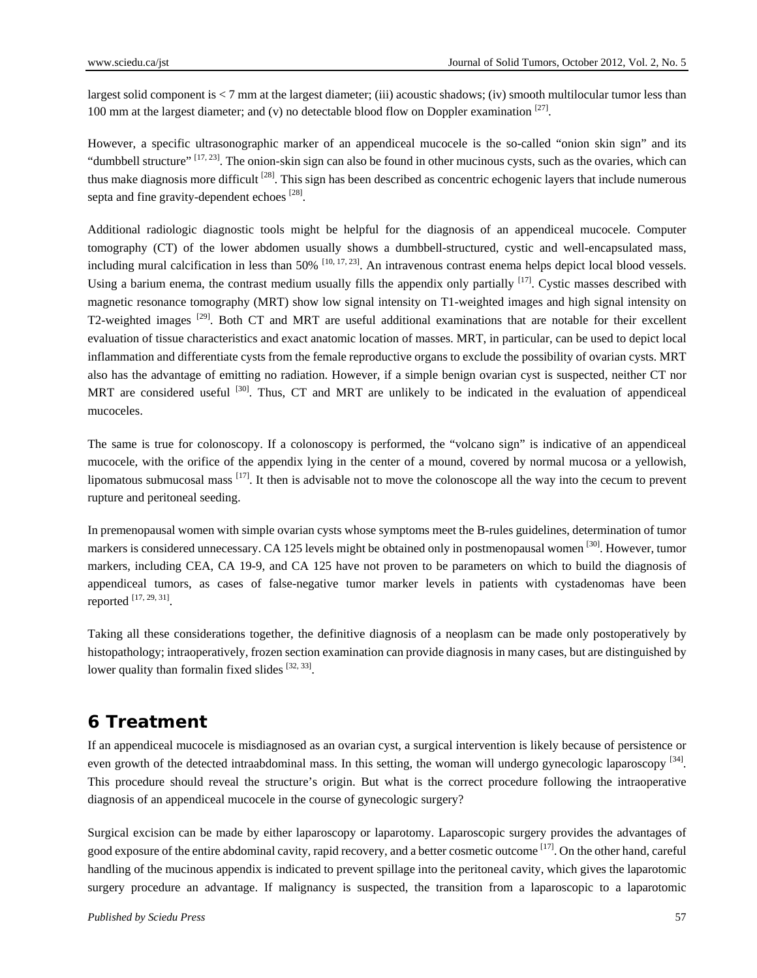largest solid component is  $\lt 7$  mm at the largest diameter; (iii) acoustic shadows; (iv) smooth multilocular tumor less than 100 mm at the largest diameter; and (v) no detectable blood flow on Doppler examination  $[27]$ .

However, a specific ultrasonographic marker of an appendiceal mucocele is the so-called "onion skin sign" and its "dumbbell structure"  $[17, 23]$ . The onion-skin sign can also be found in other mucinous cysts, such as the ovaries, which can thus make diagnosis more difficult <sup>[28]</sup>. This sign has been described as concentric echogenic layers that include numerous septa and fine gravity-dependent echoes [28].

Additional radiologic diagnostic tools might be helpful for the diagnosis of an appendiceal mucocele. Computer tomography (CT) of the lower abdomen usually shows a dumbbell-structured, cystic and well-encapsulated mass, including mural calcification in less than  $50\%$  <sup>[10, 17, 23]</sup>. An intravenous contrast enema helps depict local blood vessels. Using a barium enema, the contrast medium usually fills the appendix only partially  $[17]$ . Cystic masses described with magnetic resonance tomography (MRT) show low signal intensity on T1-weighted images and high signal intensity on T2-weighted images [29]. Both CT and MRT are useful additional examinations that are notable for their excellent evaluation of tissue characteristics and exact anatomic location of masses. MRT, in particular, can be used to depict local inflammation and differentiate cysts from the female reproductive organs to exclude the possibility of ovarian cysts. MRT also has the advantage of emitting no radiation. However, if a simple benign ovarian cyst is suspected, neither CT nor MRT are considered useful <sup>[30]</sup>. Thus, CT and MRT are unlikely to be indicated in the evaluation of appendiceal mucoceles.

The same is true for colonoscopy. If a colonoscopy is performed, the "volcano sign" is indicative of an appendiceal mucocele, with the orifice of the appendix lying in the center of a mound, covered by normal mucosa or a yellowish, lipomatous submucosal mass  $[17]$ . It then is advisable not to move the colonoscope all the way into the cecum to prevent rupture and peritoneal seeding.

In premenopausal women with simple ovarian cysts whose symptoms meet the B-rules guidelines, determination of tumor markers is considered unnecessary. CA 125 levels might be obtained only in postmenopausal women [30]. However, tumor markers, including CEA, CA 19-9, and CA 125 have not proven to be parameters on which to build the diagnosis of appendiceal tumors, as cases of false-negative tumor marker levels in patients with cystadenomas have been reported [17, 29, 31].

Taking all these considerations together, the definitive diagnosis of a neoplasm can be made only postoperatively by histopathology; intraoperatively, frozen section examination can provide diagnosis in many cases, but are distinguished by lower quality than formal in fixed slides  $[32, 33]$ .

### **6 Treatment**

If an appendiceal mucocele is misdiagnosed as an ovarian cyst, a surgical intervention is likely because of persistence or even growth of the detected intraabdominal mass. In this setting, the woman will undergo gynecologic laparoscopy  $[34]$ . This procedure should reveal the structure's origin. But what is the correct procedure following the intraoperative diagnosis of an appendiceal mucocele in the course of gynecologic surgery?

Surgical excision can be made by either laparoscopy or laparotomy. Laparoscopic surgery provides the advantages of good exposure of the entire abdominal cavity, rapid recovery, and a better cosmetic outcome [17]. On the other hand, careful handling of the mucinous appendix is indicated to prevent spillage into the peritoneal cavity, which gives the laparotomic surgery procedure an advantage. If malignancy is suspected, the transition from a laparoscopic to a laparotomic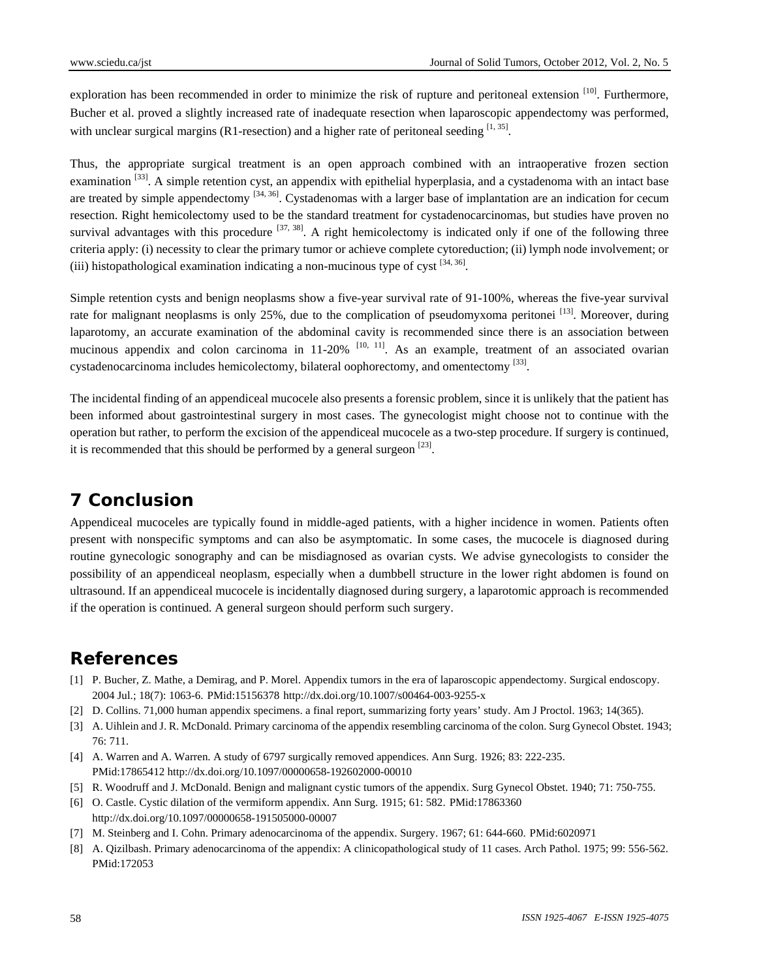exploration has been recommended in order to minimize the risk of rupture and peritoneal extension [10]. Furthermore, Bucher et al. proved a slightly increased rate of inadequate resection when laparoscopic appendectomy was performed, with unclear surgical margins (R1-resection) and a higher rate of peritoneal seeding  $^{[1, 35]}$ .

Thus, the appropriate surgical treatment is an open approach combined with an intraoperative frozen section examination  $[33]$ . A simple retention cyst, an appendix with epithelial hyperplasia, and a cystadenoma with an intact base are treated by simple appendectomy  $[34, 36]$ . Cystadenomas with a larger base of implantation are an indication for cecum resection. Right hemicolectomy used to be the standard treatment for cystadenocarcinomas, but studies have proven no survival advantages with this procedure  $[37, 38]$ . A right hemicolectomy is indicated only if one of the following three criteria apply: (i) necessity to clear the primary tumor or achieve complete cytoreduction; (ii) lymph node involvement; or (iii) histopathological examination indicating a non-mucinous type of cyst  $^{[34,36]}$ .

Simple retention cysts and benign neoplasms show a five-year survival rate of 91-100%, whereas the five-year survival rate for malignant neoplasms is only 25%, due to the complication of pseudomyxoma peritonei<sup>[13]</sup>. Moreover, during laparotomy, an accurate examination of the abdominal cavity is recommended since there is an association between mucinous appendix and colon carcinoma in  $11-20\%$  <sup>[10, 11]</sup>. As an example, treatment of an associated ovarian cystadenocarcinoma includes hemicolectomy, bilateral oophorectomy, and omentectomy [33].

The incidental finding of an appendiceal mucocele also presents a forensic problem, since it is unlikely that the patient has been informed about gastrointestinal surgery in most cases. The gynecologist might choose not to continue with the operation but rather, to perform the excision of the appendiceal mucocele as a two-step procedure. If surgery is continued, it is recommended that this should be performed by a general surgeon  $[23]$ .

## **7 Conclusion**

Appendiceal mucoceles are typically found in middle-aged patients, with a higher incidence in women. Patients often present with nonspecific symptoms and can also be asymptomatic. In some cases, the mucocele is diagnosed during routine gynecologic sonography and can be misdiagnosed as ovarian cysts. We advise gynecologists to consider the possibility of an appendiceal neoplasm, especially when a dumbbell structure in the lower right abdomen is found on ultrasound. If an appendiceal mucocele is incidentally diagnosed during surgery, a laparotomic approach is recommended if the operation is continued. A general surgeon should perform such surgery.

## **References**

- [1] P. Bucher, Z. Mathe, a Demirag, and P. Morel. Appendix tumors in the era of laparoscopic appendectomy. Surgical endoscopy. 2004 Jul.; 18(7): 1063-6. PMid:15156378 http://dx.doi.org/10.1007/s00464-003-9255-x
- [2] D. Collins. 71,000 human appendix specimens. a final report, summarizing forty years' study. Am J Proctol. 1963; 14(365).
- [3] A. Uihlein and J. R. McDonald. Primary carcinoma of the appendix resembling carcinoma of the colon. Surg Gynecol Obstet. 1943; 76: 711.
- [4] A. Warren and A. Warren. A study of 6797 surgically removed appendices. Ann Surg. 1926; 83: 222-235. PMid:17865412 http://dx.doi.org/10.1097/00000658-192602000-00010
- [5] R. Woodruff and J. McDonald. Benign and malignant cystic tumors of the appendix. Surg Gynecol Obstet. 1940; 71: 750-755.
- [6] O. Castle. Cystic dilation of the vermiform appendix. Ann Surg. 1915; 61: 582. PMid:17863360 http://dx.doi.org/10.1097/00000658-191505000-00007
- [7] M. Steinberg and I. Cohn. Primary adenocarcinoma of the appendix. Surgery. 1967; 61: 644-660. PMid:6020971
- [8] A. Qizilbash. Primary adenocarcinoma of the appendix: A clinicopathological study of 11 cases. Arch Pathol. 1975; 99: 556-562. PMid:172053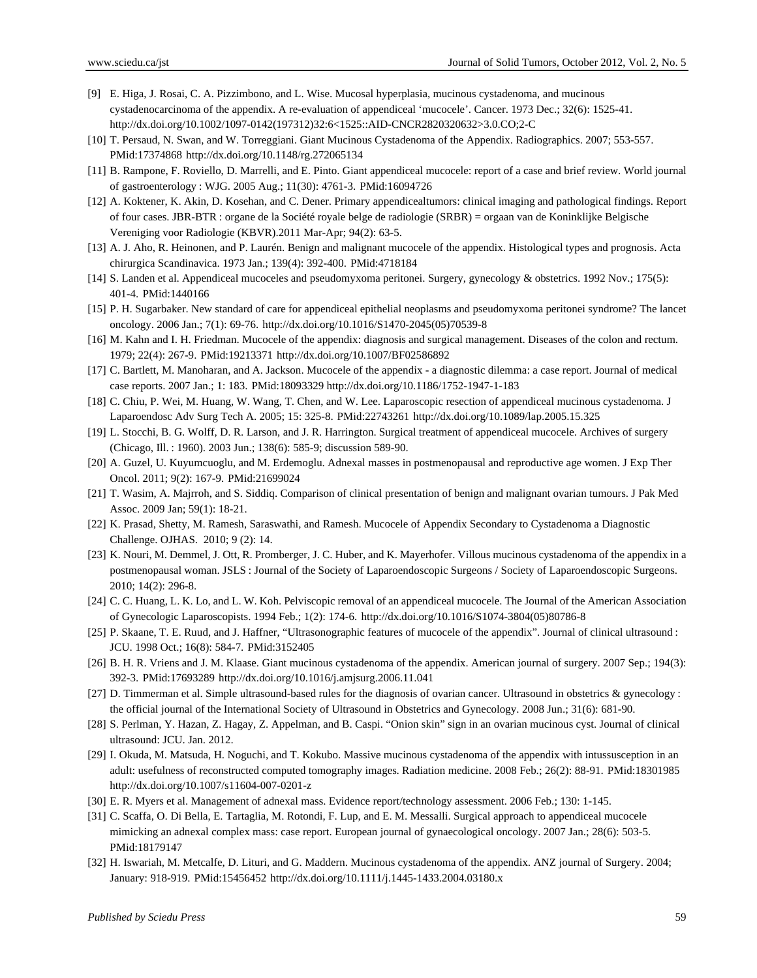- [9] E. Higa, J. Rosai, C. A. Pizzimbono, and L. Wise. Mucosal hyperplasia, mucinous cystadenoma, and mucinous cystadenocarcinoma of the appendix. A re-evaluation of appendiceal 'mucocele'. Cancer. 1973 Dec.; 32(6): 1525-41. http://dx.doi.org/10.1002/1097-0142(197312)32:6<1525::AID-CNCR2820320632>3.0.CO;2-C
- [10] T. Persaud, N. Swan, and W. Torreggiani. Giant Mucinous Cystadenoma of the Appendix. Radiographics. 2007; 553-557. PMid:17374868 http://dx.doi.org/10.1148/rg.272065134
- [11] B. Rampone, F. Roviello, D. Marrelli, and E. Pinto. Giant appendiceal mucocele: report of a case and brief review. World journal of gastroenterology : WJG. 2005 Aug.; 11(30): 4761-3. PMid:16094726
- [12] A. Koktener, K. Akin, D. Kosehan, and C. Dener. Primary appendicealtumors: clinical imaging and pathological findings. Report of four cases. JBR-BTR : organe de la Société royale belge de radiologie (SRBR) = orgaan van de Koninklijke Belgische Vereniging voor Radiologie (KBVR).2011 Mar-Apr; 94(2): 63-5.
- [13] A. J. Aho, R. Heinonen, and P. Laurén. Benign and malignant mucocele of the appendix. Histological types and prognosis. Acta chirurgica Scandinavica. 1973 Jan.; 139(4): 392-400. PMid:4718184
- [14] S. Landen et al. Appendiceal mucoceles and pseudomyxoma peritonei. Surgery, gynecology & obstetrics. 1992 Nov.; 175(5): 401-4. PMid:1440166
- [15] P. H. Sugarbaker. New standard of care for appendiceal epithelial neoplasms and pseudomyxoma peritonei syndrome? The lancet oncology. 2006 Jan.; 7(1): 69-76. http://dx.doi.org/10.1016/S1470-2045(05)70539-8
- [16] M. Kahn and I. H. Friedman. Mucocele of the appendix: diagnosis and surgical management. Diseases of the colon and rectum. 1979; 22(4): 267-9. PMid:19213371 http://dx.doi.org/10.1007/BF02586892
- [17] C. Bartlett, M. Manoharan, and A. Jackson. Mucocele of the appendix a diagnostic dilemma: a case report. Journal of medical case reports. 2007 Jan.; 1: 183. PMid:18093329 http://dx.doi.org/10.1186/1752-1947-1-183
- [18] C. Chiu, P. Wei, M. Huang, W. Wang, T. Chen, and W. Lee. Laparoscopic resection of appendiceal mucinous cystadenoma. J Laparoendosc Adv Surg Tech A. 2005; 15: 325-8. PMid:22743261 http://dx.doi.org/10.1089/lap.2005.15.325
- [19] L. Stocchi, B. G. Wolff, D. R. Larson, and J. R. Harrington. Surgical treatment of appendiceal mucocele. Archives of surgery (Chicago, Ill. : 1960). 2003 Jun.; 138(6): 585-9; discussion 589-90.
- [20] A. Guzel, U. Kuyumcuoglu, and M. Erdemoglu. Adnexal masses in postmenopausal and reproductive age women. J Exp Ther Oncol. 2011; 9(2): 167-9. PMid:21699024
- [21] T. Wasim, A. Majrroh, and S. Siddiq. Comparison of clinical presentation of benign and malignant ovarian tumours. J Pak Med Assoc. 2009 Jan; 59(1): 18-21.
- [22] K. Prasad, Shetty, M. Ramesh, Saraswathi, and Ramesh. Mucocele of Appendix Secondary to Cystadenoma a Diagnostic Challenge. OJHAS. 2010; 9 (2): 14.
- [23] K. Nouri, M. Demmel, J. Ott, R. Promberger, J. C. Huber, and K. Mayerhofer. Villous mucinous cystadenoma of the appendix in a postmenopausal woman. JSLS : Journal of the Society of Laparoendoscopic Surgeons / Society of Laparoendoscopic Surgeons. 2010; 14(2): 296-8.
- [24] C. C. Huang, L. K. Lo, and L. W. Koh. Pelviscopic removal of an appendiceal mucocele. The Journal of the American Association of Gynecologic Laparoscopists. 1994 Feb.; 1(2): 174-6. http://dx.doi.org/10.1016/S1074-3804(05)80786-8
- [25] P. Skaane, T. E. Ruud, and J. Haffner, "Ultrasonographic features of mucocele of the appendix". Journal of clinical ultrasound : JCU. 1998 Oct.; 16(8): 584-7. PMid:3152405
- [26] B. H. R. Vriens and J. M. Klaase. Giant mucinous cystadenoma of the appendix. American journal of surgery. 2007 Sep.; 194(3): 392-3. PMid:17693289 http://dx.doi.org/10.1016/j.amjsurg.2006.11.041
- [27] D. Timmerman et al. Simple ultrasound-based rules for the diagnosis of ovarian cancer. Ultrasound in obstetrics & gynecology : the official journal of the International Society of Ultrasound in Obstetrics and Gynecology. 2008 Jun.; 31(6): 681-90.
- [28] S. Perlman, Y. Hazan, Z. Hagay, Z. Appelman, and B. Caspi. "Onion skin" sign in an ovarian mucinous cyst. Journal of clinical ultrasound: JCU. Jan. 2012.
- [29] I. Okuda, M. Matsuda, H. Noguchi, and T. Kokubo. Massive mucinous cystadenoma of the appendix with intussusception in an adult: usefulness of reconstructed computed tomography images. Radiation medicine. 2008 Feb.; 26(2): 88-91. PMid:18301985 http://dx.doi.org/10.1007/s11604-007-0201-z
- [30] E. R. Myers et al. Management of adnexal mass. Evidence report/technology assessment. 2006 Feb.; 130: 1-145.
- [31] C. Scaffa, O. Di Bella, E. Tartaglia, M. Rotondi, F. Lup, and E. M. Messalli. Surgical approach to appendiceal mucocele mimicking an adnexal complex mass: case report. European journal of gynaecological oncology. 2007 Jan.; 28(6): 503-5. PMid:18179147
- [32] H. Iswariah, M. Metcalfe, D. Lituri, and G. Maddern. Mucinous cystadenoma of the appendix. ANZ journal of Surgery. 2004; January: 918-919. PMid:15456452 http://dx.doi.org/10.1111/j.1445-1433.2004.03180.x